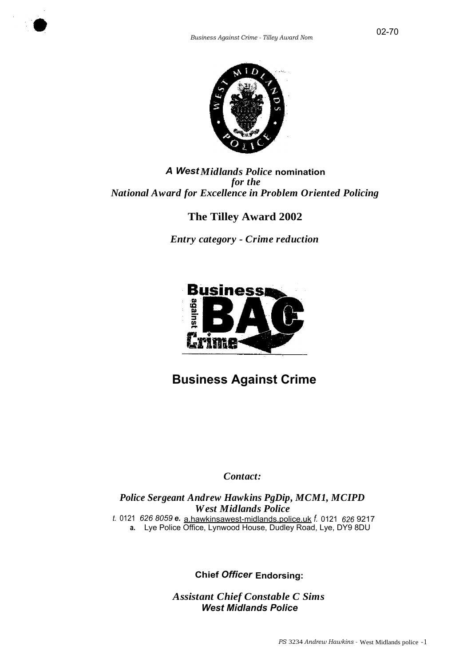



# *A WestMidlands Police* **nomination** *for the National Award for Excellence in Problem Oriented Policing*

# **The Tilley Award 2002**

*Entry category - Crime reduction*



# **Business Against Crime**

# *Contact:*

*Police Sergeant Andrew Hawkins PgDip, MCM1, MCIPD West Midlands Police t.* 0121 *626 8059 e.* a.hawkinsawest-midlands.police.uk *f.* 0121 *626* 9217 **a.** Lye Police Office, Lynwood House, Dudley Road, Lye, DY9 8DU

**Chief** *Officer* **Endorsing:**

*Assistant Chief Constable C Sims West Midlands Police*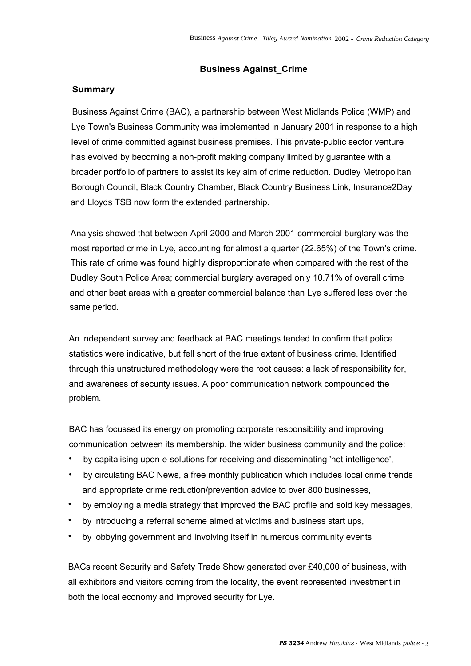## **Business Against\_Crime**

# **Summary**

Business Against Crime (BAC), a partnership between West Midlands Police (WMP) and Lye Town's Business Community was implemented in January 2001 in response to a high level of crime committed against business premises. This private-public sector venture has evolved by becoming a non-profit making company limited by guarantee with a broader portfolio of partners to assist its key aim of crime reduction. Dudley Metropolitan Borough Council, Black Country Chamber, Black Country Business Link, Insurance2Day and Lloyds TSB now form the extended partnership.

Analysis showed that between April 2000 and March 2001 commercial burglary was the most reported crime in Lye, accounting for almost a quarter (22.65%) of the Town's crime. This rate of crime was found highly disproportionate when compared with the rest of the Dudley South Police Area; commercial burglary averaged only 10.71% of overall crime and other beat areas with a greater commercial balance than Lye suffered less over the same period.

An independent survey and feedback at BAC meetings tended to confirm that police statistics were indicative, but fell short of the true extent of business crime. Identified through this unstructured methodology were the root causes: a lack of responsibility for, and awareness of security issues. A poor communication network compounded the problem.

BAC has focussed its energy on promoting corporate responsibility and improving communication between its membership, the wider business community and the police:

- by capitalising upon e-solutions for receiving and disseminating 'hot intelligence',
- by circulating BAC News, a free monthly publication which includes local crime trends and appropriate crime reduction/prevention advice to over 800 businesses,
- by employing a media strategy that improved the BAC profile and sold key messages,
- by introducing a referral scheme aimed at victims and business start ups,
- by lobbying government and involving itself in numerous community events

BACs recent Security and Safety Trade Show generated over £40,000 of business, with all exhibitors and visitors coming from the locality, the event represented investment in both the local economy and improved security for Lye.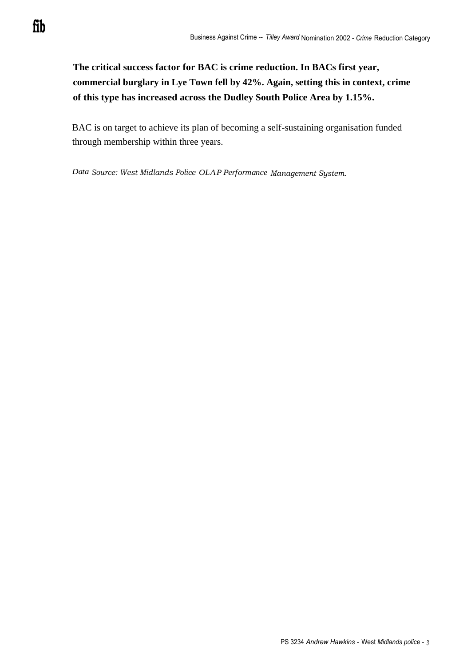**The critical success factor for BAC is crime reduction. In BACs first year, commercial burglary in Lye Town fell by 42%. Again, setting this in context, crime of this type has increased across the Dudley South Police Area by 1.15%.**

BAC is on target to achieve its plan of becoming a self-sustaining organisation funded through membership within three years.

*Data Source: West Midlands Police OLAP Performance Management System.*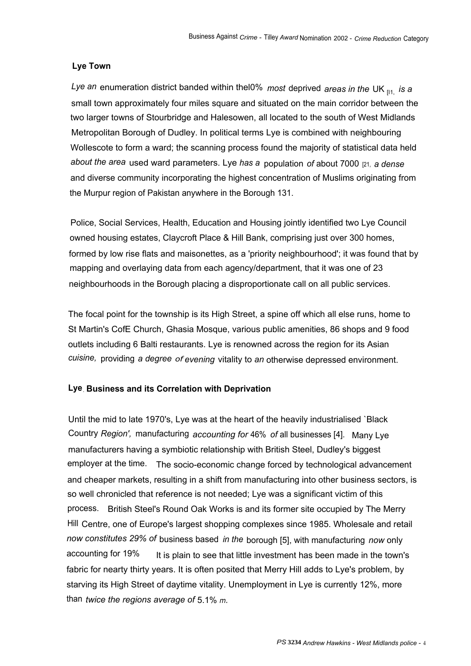# **Lye Town**

*Lye an* enumeration district banded within thel0% *most* deprived *areas in the* UK [I1, *is a* small town approximately four miles square and situated on the main corridor between the two larger towns of Stourbridge and Halesowen, all located to the south of West Midlands Metropolitan Borough of Dudley. In political terms Lye is combined with neighbouring Wollescote to form a ward; the scanning process found the majority of statistical data held *about the area* used ward parameters. Lye *has a* population *of* about 7000 [21, *a dense* and diverse community incorporating the highest concentration of Muslims originating from the Murpur region of Pakistan anywhere in the Borough 131.

Police, Social Services, Health, Education and Housing jointly identified two Lye Council owned housing estates, Claycroft Place & Hill Bank, comprising just over 300 homes, formed by low rise flats and maisonettes, as a 'priority neighbourhood'; it was found that by mapping and overlaying data from each agency/department, that it was one of 23 neighbourhoods in the Borough placing a disproportionate call on all public services.

The focal point for the township is its High Street, a spine off which all else runs, home to St Martin's CofE Church, Ghasia Mosque, various public amenities, 86 shops and 9 food outlets including 6 Balti restaurants. Lye is renowned across the region for its Asian *cuisine,* providing *a degree of evening* vitality to *an* otherwise depressed environment.

# **Lye. Business and its Correlation with Deprivation**

Until the mid to late 1970's, Lye was at the heart of the heavily industrialised `Black Country *Region',* manufacturing *accounting for* 46% *of* all businesses [4]. Many Lye manufacturers having a symbiotic relationship with British Steel, Dudley's biggest employer at the time. The socio-economic change forced by technological advancement and cheaper markets, resulting in a shift from manufacturing into other business sectors, is so well chronicled that reference is not needed; Lye was a significant victim of this process. British Steel's Round Oak Works is and its former site occupied by The Merry Hill Centre, one of Europe's largest shopping complexes since 1985. Wholesale and retail *now constitutes 29% of* business based *in the* borough [5], with manufacturing *now* only accounting for 19% It is plain to see that little investment has been made in the town's fabric for nearty thirty years. It is often posited that Merry Hill adds to Lye's problem, by starving its High Street of daytime vitality. Unemployment in Lye is currently 12%, more than *twice the regions average of* 5.1% *m.*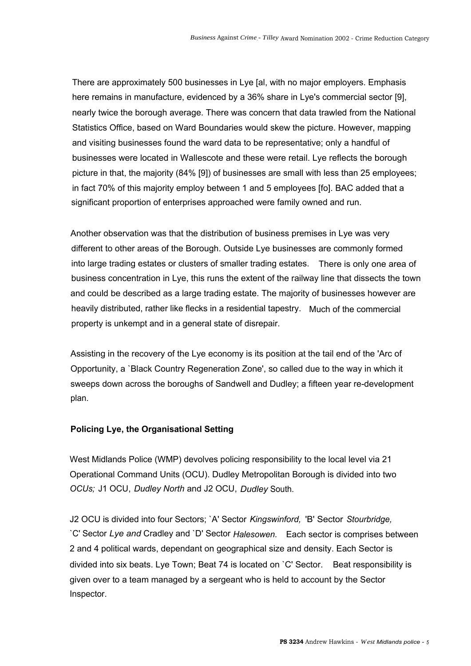There are approximately 500 businesses in Lye [al, with no major employers. Emphasis here remains in manufacture, evidenced by a 36% share in Lye's commercial sector [9], nearly twice the borough average. There was concern that data trawled from the National Statistics Office, based on Ward Boundaries would skew the picture. However, mapping and visiting businesses found the ward data to be representative; only a handful of businesses were located in Wallescote and these were retail. Lye reflects the borough picture in that, the majority (84% [9]) of businesses are small with less than 25 employees; in fact 70% of this majority employ between 1 and 5 employees [fo]. BAC added that a significant proportion of enterprises approached were family owned and run.

Another observation was that the distribution of business premises in Lye was very different to other areas of the Borough. Outside Lye businesses are commonly formed into large trading estates or clusters of smaller trading estates. There is only one area of business concentration in Lye, this runs the extent of the railway line that dissects the town and could be described as a large trading estate. The majority of businesses however are heavily distributed, rather like flecks in a residential tapestry. Much of the commercial property is unkempt and in a general state of disrepair.

Assisting in the recovery of the Lye economy is its position at the tail end of the 'Arc of Opportunity, a `Black Country Regeneration Zone', so called due to the way in which it sweeps down across the boroughs of Sandwell and Dudley; a fifteen year re-development plan.

# **Policing Lye, the Organisational Setting**

West Midlands Police (WMP) devolves policing responsibility to the local level via 21 Operational Command Units (OCU). Dudley Metropolitan Borough is divided into two *OCUs;* J1 OCU, *Dudley North* and J2 OCU, *Dudley* South.

J2 OCU is divided into four Sectors; `A' Sector *Kingswinford,* 'B' Sector *Stourbridge,* `C' Sector *Lye and* Cradley and `D' Sector *Halesowen.* Each sector is comprises between 2 and 4 political wards, dependant on geographical size and density. Each Sector is divided into six beats. Lye Town; Beat 74 is located on `C' Sector. Beat responsibility is given over to a team managed by a sergeant who is held to account by the Sector Inspector.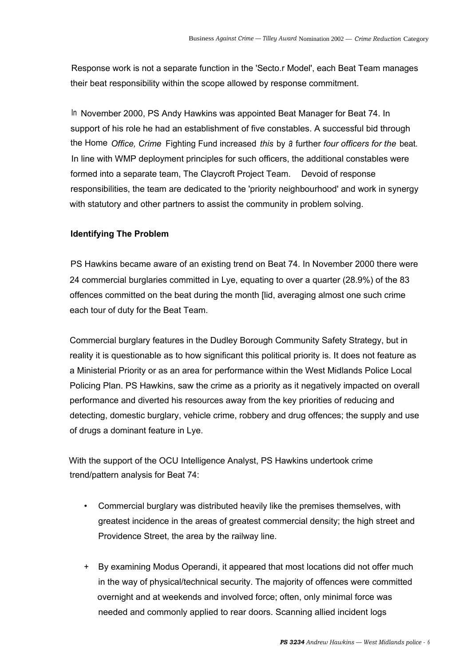Response work is not a separate function in the 'Secto.r Model', each Beat Team manages their beat responsibility within the scope allowed by response commitment.

In November 2000, PS Andy Hawkins was appointed Beat Manager for Beat 74. In support of his role he had an establishment of five constables. A successful bid through the Home *Office, Crime* Fighting Fund increased *this* by *a* further *four officers for the* beat. In line with WMP deployment principles for such officers, the additional constables were formed into a separate team, The Claycroft Project Team. Devoid of response responsibilities, the team are dedicated to the 'priority neighbourhood' and work in synergy with statutory and other partners to assist the community in problem solving.

## **Identifying The Problem**

PS Hawkins became aware of an existing trend on Beat 74. In November 2000 there were 24 commercial burglaries committed in Lye, equating to over a quarter (28.9%) of the 83 offences committed on the beat during the month [lid, averaging almost one such crime each tour of duty for the Beat Team.

Commercial burglary features in the Dudley Borough Community Safety Strategy, but in reality it is questionable as to how significant this political priority is. It does not feature as a Ministerial Priority or as an area for performance within the West Midlands Police Local Policing Plan. PS Hawkins, saw the crime as a priority as it negatively impacted on overall performance and diverted his resources away from the key priorities of reducing and detecting, domestic burglary, vehicle crime, robbery and drug offences; the supply and use of drugs a dominant feature in Lye.

With the support of the OCU Intelligence Analyst, PS Hawkins undertook crime trend/pattern analysis for Beat 74:

- Commercial burglary was distributed heavily like the premises themselves, with greatest incidence in the areas of greatest commercial density; the high street and Providence Street, the area by the railway line.
- + By examining Modus Operandi, it appeared that most locations did not offer much in the way of physical/technical security. The majority of offences were committed overnight and at weekends and involved force; often, only minimal force was needed and commonly applied to rear doors. Scanning allied incident logs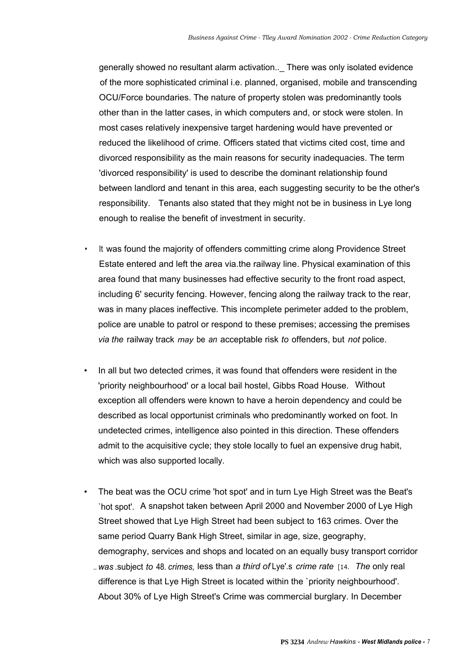generally showed no resultant alarm activation..\_ There was only isolated evidence of the more sophisticated criminal i.e. planned, organised, mobile and transcending OCU/Force boundaries. The nature of property stolen was predominantly tools other than in the latter cases, in which computers and, or stock were stolen. In most cases relatively inexpensive target hardening would have prevented or reduced the likelihood of crime. Officers stated that victims cited cost, time and divorced responsibility as the main reasons for security inadequacies. The term 'divorced responsibility' is used to describe the dominant relationship found between landlord and tenant in this area, each suggesting security to be the other's responsibility. Tenants also stated that they might not be in business in Lye long enough to realise the benefit of investment in security.

- It was found the majority of offenders committing crime along Providence Street Estate entered and left the area via.the railway line. Physical examination of this area found that many businesses had effective security to the front road aspect, including 6' security fencing. However, fencing along the railway track to the rear, was in many places ineffective. This incomplete perimeter added to the problem, police are unable to patrol or respond to these premises; accessing the premises *via the* railway track *may* be *an* acceptable risk *to* offenders, but *not* police.
- In all but two detected crimes, it was found that offenders were resident in the 'priority neighbourhood' or a local bail hostel, Gibbs Road House. Without exception all offenders were known to have a heroin dependency and could be described as local opportunist criminals who predominantly worked on foot. In undetected crimes, intelligence also pointed in this direction. These offenders admit to the acquisitive cycle; they stole locally to fuel an expensive drug habit, which was also supported locally.
- The beat was the OCU crime 'hot spot' and in turn Lye High Street was the Beat's `hot spot'. A snapshot taken between April 2000 and November 2000 of Lye High Street showed that Lye High Street had been subject to 163 crimes. Over the same period Quarry Bank High Street, similar in age, size, geography, demography, services and shops and located on an equally busy transport corridor .. *was* .subject *to* 48. *crimes,* less than *a third of* Lye'.s *crime rate* [14. *The* only real difference is that Lye High Street is located within the `priority neighbourhood'. About 30% of Lye High Street's Crime was commercial burglary. In December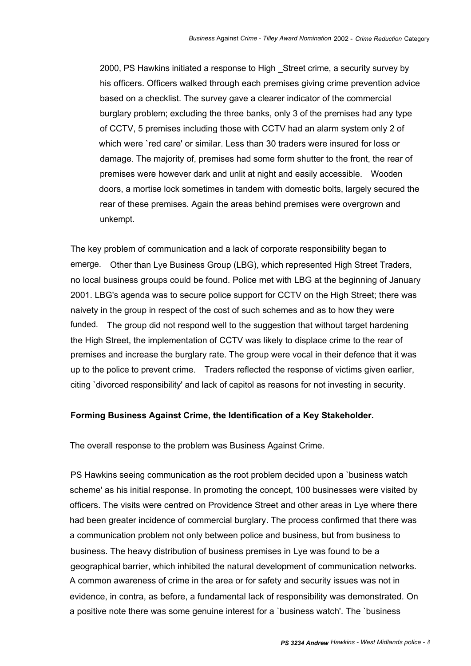2000, PS Hawkins initiated a response to High \_Street crime, a security survey by his officers. Officers walked through each premises giving crime prevention advice based on a checklist. The survey gave a clearer indicator of the commercial burglary problem; excluding the three banks, only 3 of the premises had any type of CCTV, 5 premises including those with CCTV had an alarm system only 2 of which were `red care' or similar. Less than 30 traders were insured for loss or damage. The majority of, premises had some form shutter to the front, the rear of premises were however dark and unlit at night and easily accessible. Wooden doors, a mortise lock sometimes in tandem with domestic bolts, largely secured the rear of these premises. Again the areas behind premises were overgrown and unkempt.

The key problem of communication and a lack of corporate responsibility began to emerge. Other than Lye Business Group (LBG), which represented High Street Traders, no local business groups could be found. Police met with LBG at the beginning of January 2001. LBG's agenda was to secure police support for CCTV on the High Street; there was naivety in the group in respect of the cost of such schemes and as to how they were funded. The group did not respond well to the suggestion that without target hardening the High Street, the implementation of CCTV was likely to displace crime to the rear of premises and increase the burglary rate. The group were vocal in their defence that it was up to the police to prevent crime. Traders reflected the response of victims given earlier, citing `divorced responsibility' and lack of capitol as reasons for not investing in security.

### **Forming Business Against Crime, the Identification of a Key Stakeholder.**

The overall response to the problem was Business Against Crime.

PS Hawkins seeing communication as the root problem decided upon a `business watch scheme' as his initial response. In promoting the concept, 100 businesses were visited by officers. The visits were centred on Providence Street and other areas in Lye where there had been greater incidence of commercial burglary. The process confirmed that there was a communication problem not only between police and business, but from business to business. The heavy distribution of business premises in Lye was found to be a geographical barrier, which inhibited the natural development of communication networks. A common awareness of crime in the area or for safety and security issues was not in evidence, in contra, as before, a fundamental lack of responsibility was demonstrated. On a positive note there was some genuine interest for a `business watch'. The `business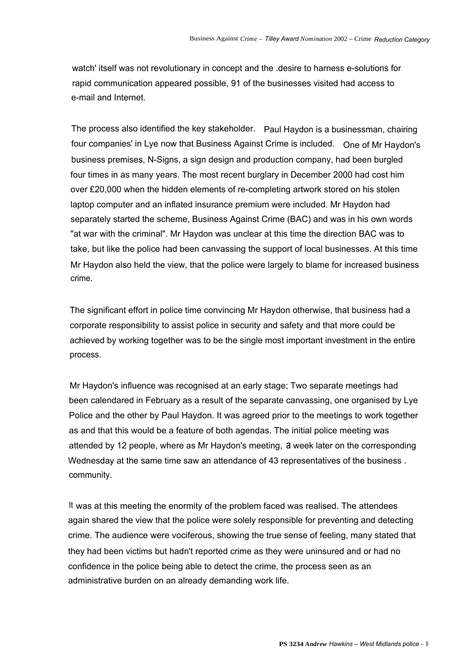watch' itself was not revolutionary in concept and the .desire to harness e-solutions for rapid communication appeared possible, 91 of the businesses visited had access to e-mail and Internet.

The process also identified the key stakeholder. Paul Haydon is a businessman, chairing four companies' in Lye now that Business Against Crime is included. One of Mr Haydon's business premises, N-Signs, a sign design and production company, had been burgled four times in as many years. The most recent burglary in December 2000 had cost him over £20,000 when the hidden elements of re-completing artwork stored on his stolen laptop computer and an inflated insurance premium were included. Mr Haydon had separately started the scheme, Business Against Crime (BAC) and was in his own words "at war with the criminal". Mr Haydon was unclear at this time the direction BAC was to take, but like the police had been canvassing the support of local businesses. At this time Mr Haydon also held the view, that the police were largely to blame for increased business crime.

The significant effort in police time convincing Mr Haydon otherwise, that business had a corporate responsibility to assist police in security and safety and that more could be achieved by working together was to be the single most important investment in the entire process.

Mr Haydon's influence was recognised at an early stage; Two separate meetings had been calendared in February as a result of the separate canvassing, one organised by Lye Police and the other by Paul Haydon. It was agreed prior to the meetings to work together as and that this would be a feature of both agendas. The initial police meeting was attended by 12 people, where as Mr Haydon's meeting, a week later on the corresponding Wednesday at the same time saw an attendance of 43 representatives of the business . community.

It was at this meeting the enormity of the problem faced was realised. The attendees again shared the view that the police were solely responsible for preventing and detecting crime. The audience were vociferous, showing the true sense of feeling, many stated that they had been victims but hadn't reported crime as they were uninsured and or had no confidence in the police being able to detect the crime, the process seen as an administrative burden on an already demanding work life.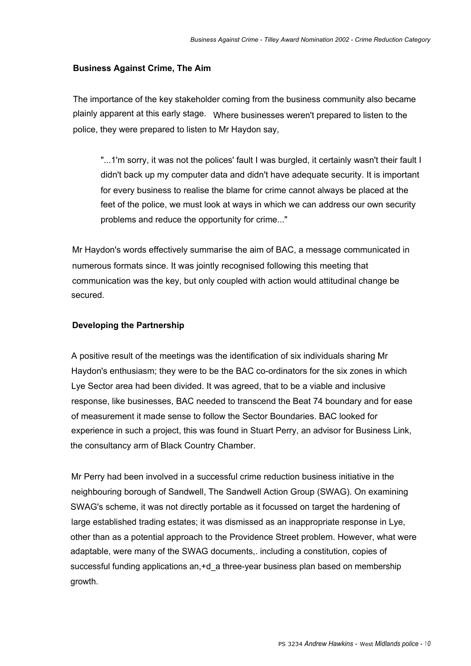# **Business Against Crime, The Aim**

The importance of the key stakeholder coming from the business community also became plainly apparent at this early stage. Where businesses weren't prepared to listen to the police, they were prepared to listen to Mr Haydon say,

"...1'm sorry, it was not the polices' fault I was burgled, it certainly wasn't their fault I didn't back up my computer data and didn't have adequate security. It is important for every business to realise the blame for crime cannot always be placed at the feet of the police, we must look at ways in which we can address our own security problems and reduce the opportunity for crime..."

Mr Haydon's words effectively summarise the aim of BAC, a message communicated in numerous formats since. It was jointly recognised following this meeting that communication was the key, but only coupled with action would attitudinal change be secured.

# **Developing the Partnership**

A positive result of the meetings was the identification of six individuals sharing Mr Haydon's enthusiasm; they were to be the BAC co-ordinators for the six zones in which Lye Sector area had been divided. It was agreed, that to be a viable and inclusive response, like businesses, BAC needed to transcend the Beat 74 boundary and for ease of measurement it made sense to follow the Sector Boundaries. BAC looked for experience in such a project, this was found in Stuart Perry, an advisor for Business Link, the consultancy arm of Black Country Chamber.

Mr Perry had been involved in a successful crime reduction business initiative in the neighbouring borough of Sandwell, The Sandwell Action Group (SWAG). On examining SWAG's scheme, it was not directly portable as it focussed on target the hardening of large established trading estates; it was dismissed as an inappropriate response in Lye, other than as a potential approach to the Providence Street problem. However, what were adaptable, were many of the SWAG documents,. including a constitution, copies of successful funding applications an,+d\_a three-year business plan based on membership growth.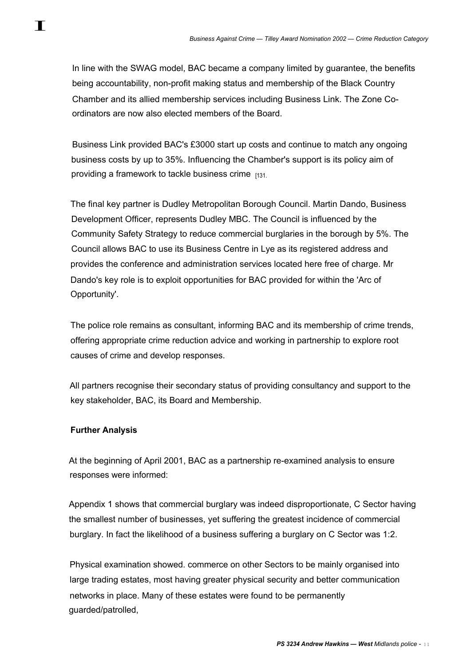In line with the SWAG model, BAC became a company limited by guarantee, the benefits being accountability, non-profit making status and membership of the Black Country Chamber and its allied membership services including Business Link. The Zone Coordinators are now also elected members of the Board.

Business Link provided BAC's £3000 start up costs and continue to match any ongoing business costs by up to 35%. Influencing the Chamber's support is its policy aim of providing a framework to tackle business crime [131.

The final key partner is Dudley Metropolitan Borough Council. Martin Dando, Business Development Officer, represents Dudley MBC. The Council is influenced by the Community Safety Strategy to reduce commercial burglaries in the borough by 5%. The Council allows BAC to use its Business Centre in Lye as its registered address and provides the conference and administration services located here free of charge. Mr Dando's key role is to exploit opportunities for BAC provided for within the 'Arc of Opportunity'.

The police role remains as consultant, informing BAC and its membership of crime trends, offering appropriate crime reduction advice and working in partnership to explore root causes of crime and develop responses.

All partners recognise their secondary status of providing consultancy and support to the key stakeholder, BAC, its Board and Membership.

# **Further Analysis**

At the beginning of April 2001, BAC as a partnership re-examined analysis to ensure responses were informed:

Appendix 1 shows that commercial burglary was indeed disproportionate, C Sector having the smallest number of businesses, yet suffering the greatest incidence of commercial burglary. In fact the likelihood of a business suffering a burglary on C Sector was 1:2.

Physical examination showed. commerce on other Sectors to be mainly organised into large trading estates, most having greater physical security and better communication networks in place. Many of these estates were found to be permanently guarded/patrolled,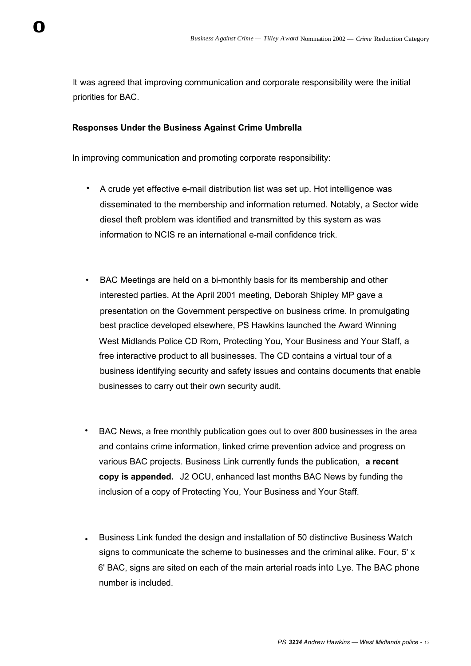It was agreed that improving communication and corporate responsibility were the initial priorities for BAC.

# **Responses Under the Business Against Crime Umbrella**

In improving communication and promoting corporate responsibility:

- A crude yet effective e-mail distribution list was set up. Hot intelligence was disseminated to the membership and information returned. Notably, a Sector wide diesel theft problem was identified and transmitted by this system as was information to NCIS re an international e-mail confidence trick.
- BAC Meetings are held on a bi-monthly basis for its membership and other interested parties. At the April 2001 meeting, Deborah Shipley MP gave a presentation on the Government perspective on business crime. In promulgating best practice developed elsewhere, PS Hawkins launched the Award Winning West Midlands Police CD Rom, Protecting You, Your Business and Your Staff, a free interactive product to all businesses. The CD contains a virtual tour of a business identifying security and safety issues and contains documents that enable businesses to carry out their own security audit.
- BAC News, a free monthly publication goes out to over 800 businesses in the area and contains crime information, linked crime prevention advice and progress on various BAC projects. Business Link currently funds the publication, **a recent copy is appended.** J2 OCU, enhanced last months BAC News by funding the inclusion of a copy of Protecting You, Your Business and Your Staff.
- Business Link funded the design and installation of 50 distinctive Business Watch signs to communicate the scheme to businesses and the criminal alike. Four, 5' x 6' BAC, signs are sited on each of the main arterial roads into Lye. The BAC phone number is included.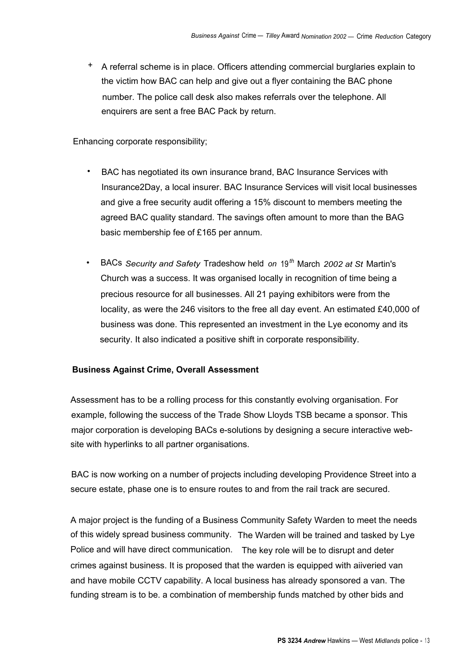+ A referral scheme is in place. Officers attending commercial burglaries explain to the victim how BAC can help and give out a flyer containing the BAC phone number. The police call desk also makes referrals over the telephone. All enquirers are sent a free BAC Pack by return.

Enhancing corporate responsibility;

- BAC has negotiated its own insurance brand, BAC Insurance Services with Insurance2Day, a local insurer. BAC Insurance Services will visit local businesses and give a free security audit offering a 15% discount to members meeting the agreed BAC quality standard. The savings often amount to more than the BAG basic membership fee of £165 per annum.
- BACs *Security and Safety* Tradeshow held *on* <sup>19</sup>*th* March *2002 at St* Martin's Church was a success. It was organised locally in recognition of time being a precious resource for all businesses. All 21 paying exhibitors were from the locality, as were the 246 visitors to the free all day event. An estimated £40,000 of business was done. This represented an investment in the Lye economy and its security. It also indicated a positive shift in corporate responsibility.

# **Business Against Crime, Overall Assessment**

Assessment has to be a rolling process for this constantly evolving organisation. For example, following the success of the Trade Show Lloyds TSB became a sponsor. This major corporation is developing BACs e-solutions by designing a secure interactive website with hyperlinks to all partner organisations.

BAC is now working on a number of projects including developing Providence Street into a secure estate, phase one is to ensure routes to and from the rail track are secured.

A major project is the funding of a Business Community Safety Warden to meet the needs of this widely spread business community. The Warden will be trained and tasked by Lye Police and will have direct communication. The key role will be to disrupt and deter crimes against business. It is proposed that the warden is equipped with aiiveried van and have mobile CCTV capability. A local business has already sponsored a van. The funding stream is to be. a combination of membership funds matched by other bids and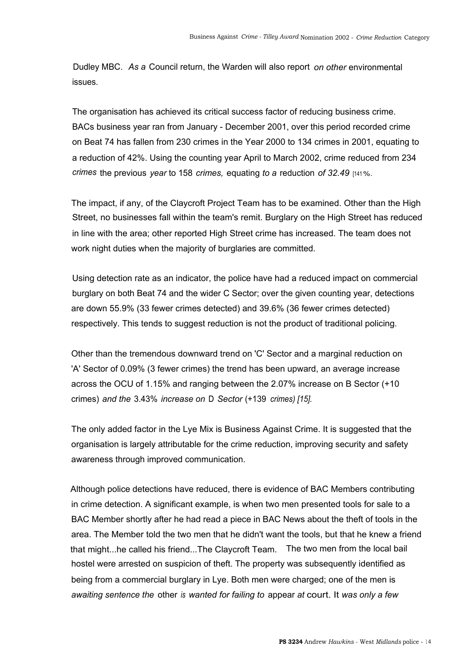Dudley MBC. *As a* Council return, the Warden will also report *on other* environmental issues.

The organisation has achieved its critical success factor of reducing business crime. BACs business year ran from January - December 2001, over this period recorded crime on Beat 74 has fallen from 230 crimes in the Year 2000 to 134 crimes in 2001, equating to a reduction of 42%. Using the counting year April to March 2002, crime reduced from 234 *crimes* the previous *year* to 158 *crimes,* equating *to a* reduction *of 32.49* [141%.

The impact, if any, of the Claycroft Project Team has to be examined. Other than the High Street, no businesses fall within the team's remit. Burglary on the High Street has reduced in line with the area; other reported High Street crime has increased. The team does not work night duties when the majority of burglaries are committed.

Using detection rate as an indicator, the police have had a reduced impact on commercial burglary on both Beat 74 and the wider C Sector; over the given counting year, detections are down 55.9% (33 fewer crimes detected) and 39.6% (36 fewer crimes detected) respectively. This tends to suggest reduction is not the product of traditional policing.

Other than the tremendous downward trend on 'C' Sector and a marginal reduction on 'A' Sector of 0.09% (3 fewer crimes) the trend has been upward, an average increase across the OCU of 1.15% and ranging between the 2.07% increase on B Sector (+10 crimes) *and the* 3.43% *increase on* D *Sector* (+139 *crimes) [15].*

The only added factor in the Lye Mix is Business Against Crime. It is suggested that the organisation is largely attributable for the crime reduction, improving security and safety awareness through improved communication.

Although police detections have reduced, there is evidence of BAC Members contributing in crime detection. A significant example, is when two men presented tools for sale to a BAC Member shortly after he had read a piece in BAC News about the theft of tools in the area. The Member told the two men that he didn't want the tools, but that he knew a friend that might...he called his friend...The Claycroft Team. The two men from the local bail hostel were arrested on suspicion of theft. The property was subsequently identified as being from a commercial burglary in Lye. Both men were charged; one of the men is *awaiting sentence the* other *is wanted for failing to* appear *at* court. It *was only a few*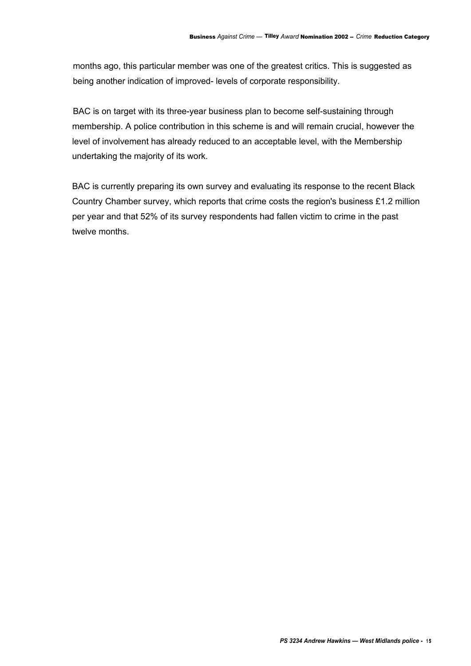months ago, this particular member was one of the greatest critics. This is suggested as being another indication of improved- levels of corporate responsibility.

BAC is on target with its three-year business plan to become self-sustaining through membership. A police contribution in this scheme is and will remain crucial, however the level of involvement has already reduced to an acceptable level, with the Membership undertaking the majority of its work.

BAC is currently preparing its own survey and evaluating its response to the recent Black Country Chamber survey, which reports that crime costs the region's business £1.2 million per year and that 52% of its survey respondents had fallen victim to crime in the past twelve months.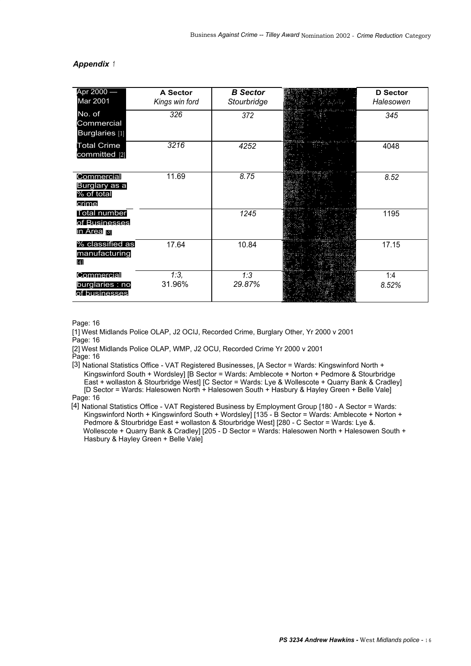#### *Appendix <sup>1</sup>*

| Apr 2000 –<br>Mar 2001                             | A Sector<br>Kings win ford | <b>B</b> Sector<br>Stourbridge | <b>D</b> Sector<br>Halesowen |
|----------------------------------------------------|----------------------------|--------------------------------|------------------------------|
| No. of<br>Commercial<br>Burglaries [1]             | 326                        | 372                            | 345                          |
| <b>Total Crime</b><br>committed [2]                | 3216                       | 4252                           | 4048                         |
| Commercial<br>Burglary as a<br>% of total<br>crime | 11.69                      | 8.75                           | 8.52                         |
| <b>Total number</b><br>of Businesses<br>in Area  3 |                            | 1245                           | 1195                         |
| % classified as<br>manufacturing<br>[4]            | 17.64                      | 10.84                          | 17.15                        |
| Commercial<br>burglaries : no<br>of businesses     | 1:3,<br>31.96%             | 1:3<br>29.87%                  | 1:4<br>8.52%                 |

#### Page: 16

[1] West Midlands Police OLAP, J2 OCIJ, Recorded Crime, Burglary Other, Yr 2000 v 2001 Page: 16

[2] West Midlands Police OLAP, WMP, J2 OCU, Recorded Crime Yr 2000 v 2001

Page: 16

[3] National Statistics Office - VAT Registered Businesses, [A Sector = Wards: Kingswinford North + Kingswinford South + Wordsley] [B Sector = Wards: Amblecote + Norton + Pedmore & Stourbridge East + wollaston & Stourbridge West] [C Sector = Wards: Lye & Wollescote + Quarry Bank & Cradley] [D Sector = Wards: Halesowen North + Halesowen South + Hasbury & Hayley Green + Belle Vale] Page: 16

[4] National Statistics Office - VAT Registered Business by Employment Group [180 - A Sector = Wards: Kingswinford North + Kingswinford South + Wordsley] [135 - B Sector = Wards: Amblecote + Norton + Pedmore & Stourbridge East + wollaston & Stourbridge West] [280 - C Sector = Wards: Lye &. Wollescote + Quarry Bank & Cradley] [205 - D Sector = Wards: Halesowen North + Halesowen South + Hasbury & Hayley Green + Belle Vale]